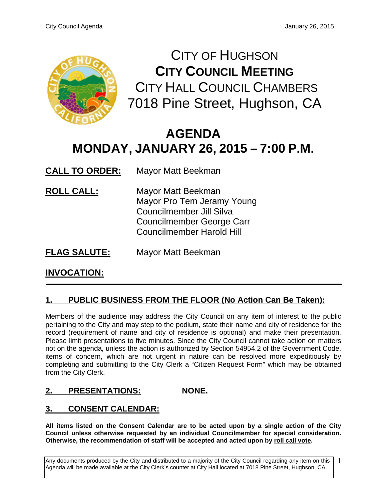

CITY OF HUGHSON **CITY COUNCIL MEETING** CITY HALL COUNCIL CHAMBERS 7018 Pine Street, Hughson, CA

# **AGENDA MONDAY, JANUARY 26, 2015 – 7:00 P.M.**

**CALL TO ORDER:** Mayor Matt Beekman

- **ROLL CALL:** Mayor Matt Beekman Mayor Pro Tem Jeramy Young Councilmember Jill Silva Councilmember George Carr Councilmember Harold Hill
- **FLAG SALUTE:** Mayor Matt Beekman

## **INVOCATION:**

### **1. PUBLIC BUSINESS FROM THE FLOOR (No Action Can Be Taken):**

Members of the audience may address the City Council on any item of interest to the public pertaining to the City and may step to the podium, state their name and city of residence for the record (requirement of name and city of residence is optional) and make their presentation. Please limit presentations to five minutes. Since the City Council cannot take action on matters not on the agenda, unless the action is authorized by Section 54954.2 of the Government Code, items of concern, which are not urgent in nature can be resolved more expeditiously by completing and submitting to the City Clerk a "Citizen Request Form" which may be obtained from the City Clerk.

### **2. PRESENTATIONS: NONE.**

### **3. CONSENT CALENDAR:**

**All items listed on the Consent Calendar are to be acted upon by a single action of the City Council unless otherwise requested by an individual Councilmember for special consideration. Otherwise, the recommendation of staff will be accepted and acted upon by roll call vote.**

Any documents produced by the City and distributed to a majority of the City Council regarding any item on this Agenda will be made available at the City Clerk's counter at City Hall located at 7018 Pine Street, Hughson, CA. 1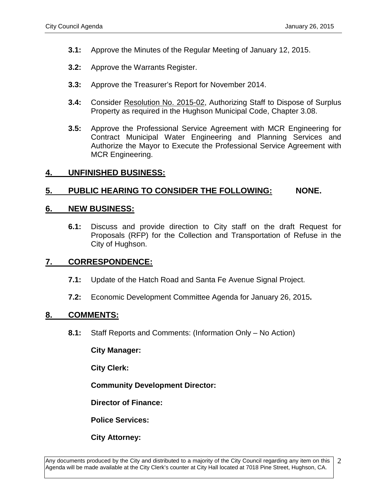- **3.1:** Approve the Minutes of the Regular Meeting of January 12, 2015.
- **3.2:** Approve the Warrants Register.
- **3.3:** Approve the Treasurer's Report for November 2014.
- **3.4:** Consider Resolution No. 2015-02, Authorizing Staff to Dispose of Surplus Property as required in the Hughson Municipal Code, Chapter 3.08.
- **3.5:** Approve the Professional Service Agreement with MCR Engineering for Contract Municipal Water Engineering and Planning Services and Authorize the Mayor to Execute the Professional Service Agreement with MCR Engineering.

#### **4. UNFINISHED BUSINESS:**

#### **5. PUBLIC HEARING TO CONSIDER THE FOLLOWING: NONE.**

#### **6. NEW BUSINESS:**

**6.1:** Discuss and provide direction to City staff on the draft Request for Proposals (RFP) for the Collection and Transportation of Refuse in the City of Hughson.

### **7. CORRESPONDENCE:**

- **7.1:** Update of the Hatch Road and Santa Fe Avenue Signal Project.
- **7.2:** Economic Development Committee Agenda for January 26, 2015**.**

#### **8. COMMENTS:**

**8.1:** Staff Reports and Comments: (Information Only – No Action)

**City Manager:** 

**City Clerk:**

**Community Development Director:**

**Director of Finance:**

**Police Services:**

**City Attorney:**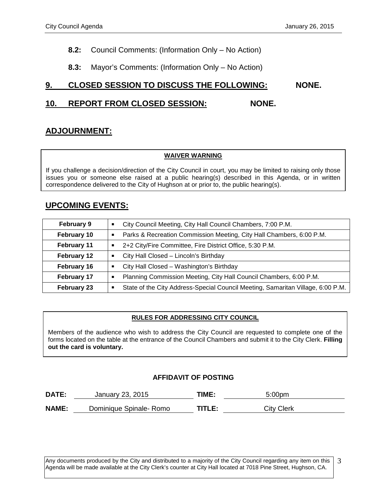- **8.2:** Council Comments: (Information Only No Action)
- **8.3:** Mayor's Comments: (Information Only No Action)

### **9. CLOSED SESSION TO DISCUSS THE FOLLOWING: NONE.**

### **10. REPORT FROM CLOSED SESSION: NONE.**

### **ADJOURNMENT:**

#### **WAIVER WARNING**

If you challenge a decision/direction of the City Council in court, you may be limited to raising only those issues you or someone else raised at a public hearing(s) described in this Agenda, or in written correspondence delivered to the City of Hughson at or prior to, the public hearing(s).

### **UPCOMING EVENTS:**

| <b>February 9</b>  | City Council Meeting, City Hall Council Chambers, 7:00 P.M.                          |
|--------------------|--------------------------------------------------------------------------------------|
| February 10        | Parks & Recreation Commission Meeting, City Hall Chambers, 6:00 P.M.<br>Ξ            |
| February 11        | 2+2 City/Fire Committee, Fire District Office, 5:30 P.M.<br>п                        |
| February 12        | City Hall Closed - Lincoln's Birthday<br>п                                           |
| February 16        | City Hall Closed - Washington's Birthday<br>п                                        |
| February 17        | Planning Commission Meeting, City Hall Council Chambers, 6:00 P.M.<br>Е              |
| <b>February 23</b> | State of the City Address-Special Council Meeting, Samaritan Village, 6:00 P.M.<br>г |

#### **RULES FOR ADDRESSING CITY COUNCIL**

Members of the audience who wish to address the City Council are requested to complete one of the forms located on the table at the entrance of the Council Chambers and submit it to the City Clerk. **Filling out the card is voluntary.**

#### **AFFIDAVIT OF POSTING**

| DATE:        | January 23, 2015        | TIME:  | 5:00pm            |
|--------------|-------------------------|--------|-------------------|
| <b>NAME:</b> | Dominique Spinale- Romo | TITLE: | <b>City Clerk</b> |

Any documents produced by the City and distributed to a majority of the City Council regarding any item on this Agenda will be made available at the City Clerk's counter at City Hall located at 7018 Pine Street, Hughson, CA. 3